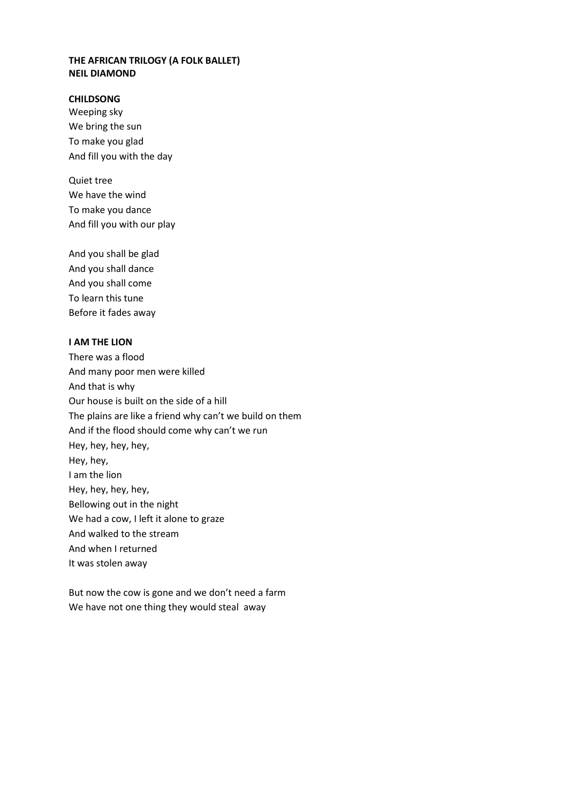## **THE AFRICAN TRILOGY (A FOLK BALLET) NEIL DIAMOND**

## **CHILDSONG**

Weeping sky We bring the sun To make you glad And fill you with the day

Quiet tree We have the wind To make you dance And fill you with our play

And you shall be glad And you shall dance And you shall come To learn this tune Before it fades away

## **I AM THE LION**

There was a flood And many poor men were killed And that is why Our house is built on the side of a hill The plains are like a friend why can't we build on them And if the flood should come why can't we run Hey, hey, hey, hey, Hey, hey, I am the lion Hey, hey, hey, hey, Bellowing out in the night We had a cow, I left it alone to graze And walked to the stream And when I returned It was stolen away

But now the cow is gone and we don't need a farm We have not one thing they would steal away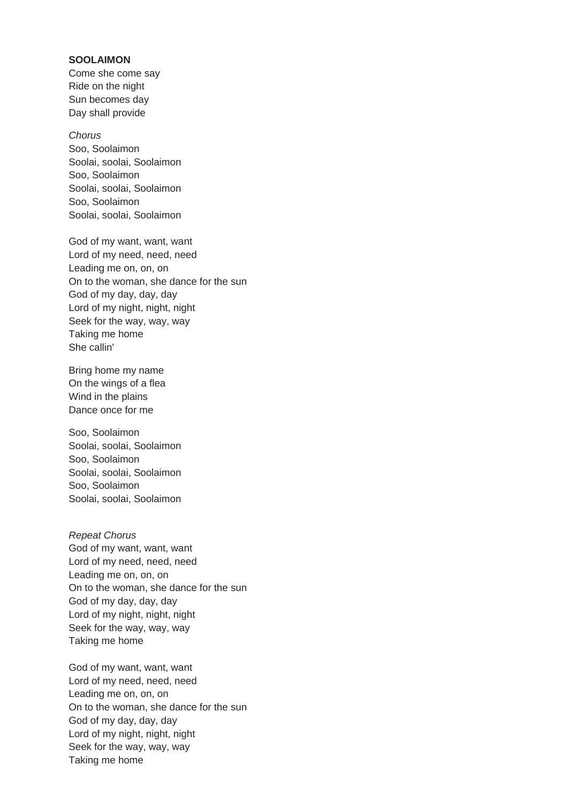### **SOOLAIMON**

Come she come say Ride on the night Sun becomes day Day shall provide

#### *Chorus*

Soo, Soolaimon Soolai, soolai, Soolaimon Soo, Soolaimon Soolai, soolai, Soolaimon Soo, Soolaimon Soolai, soolai, Soolaimon

God of my want, want, want Lord of my need, need, need Leading me on, on, on On to the woman, she dance for the sun God of my day, day, day Lord of my night, night, night Seek for the way, way, way Taking me home She callin'

Bring home my name On the wings of a flea Wind in the plains Dance once for me

Soo, Soolaimon Soolai, soolai, Soolaimon Soo, Soolaimon Soolai, soolai, Soolaimon Soo, Soolaimon Soolai, soolai, Soolaimon

*Repeat Chorus* God of my want, want, want Lord of my need, need, need Leading me on, on, on On to the woman, she dance for the sun God of my day, day, day Lord of my night, night, night Seek for the way, way, way Taking me home

God of my want, want, want Lord of my need, need, need Leading me on, on, on On to the woman, she dance for the sun God of my day, day, day Lord of my night, night, night Seek for the way, way, way Taking me home